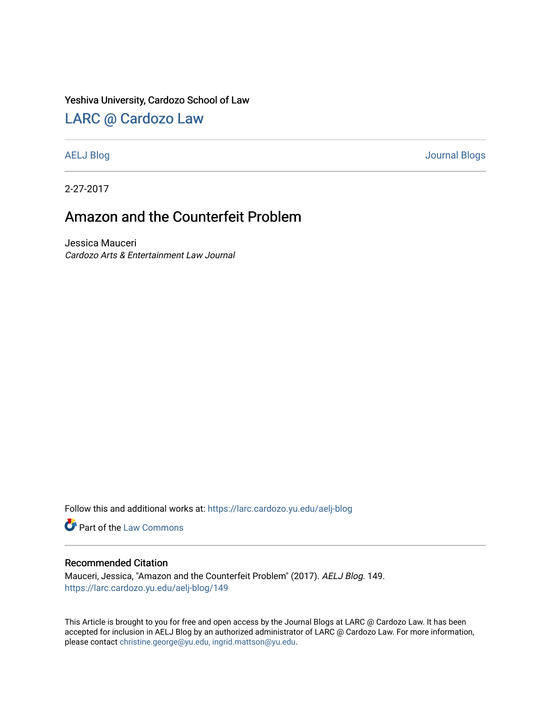#### Yeshiva University, Cardozo School of Law

### [LARC @ Cardozo Law](https://larc.cardozo.yu.edu/)

[AELJ Blog](https://larc.cardozo.yu.edu/aelj-blog) [Journal Blogs](https://larc.cardozo.yu.edu/journal-blogs) 

2-27-2017

# Amazon and the Counterfeit Problem

Jessica Mauceri Cardozo Arts & Entertainment Law Journal

Follow this and additional works at: [https://larc.cardozo.yu.edu/aelj-blog](https://larc.cardozo.yu.edu/aelj-blog?utm_source=larc.cardozo.yu.edu%2Faelj-blog%2F149&utm_medium=PDF&utm_campaign=PDFCoverPages) 

Part of the [Law Commons](http://network.bepress.com/hgg/discipline/578?utm_source=larc.cardozo.yu.edu%2Faelj-blog%2F149&utm_medium=PDF&utm_campaign=PDFCoverPages)

#### Recommended Citation

Mauceri, Jessica, "Amazon and the Counterfeit Problem" (2017). AELJ Blog. 149. [https://larc.cardozo.yu.edu/aelj-blog/149](https://larc.cardozo.yu.edu/aelj-blog/149?utm_source=larc.cardozo.yu.edu%2Faelj-blog%2F149&utm_medium=PDF&utm_campaign=PDFCoverPages) 

This Article is brought to you for free and open access by the Journal Blogs at LARC @ Cardozo Law. It has been accepted for inclusion in AELJ Blog by an authorized administrator of LARC @ Cardozo Law. For more information, please contact [christine.george@yu.edu, ingrid.mattson@yu.edu.](mailto:christine.george@yu.edu,%20ingrid.mattson@yu.edu)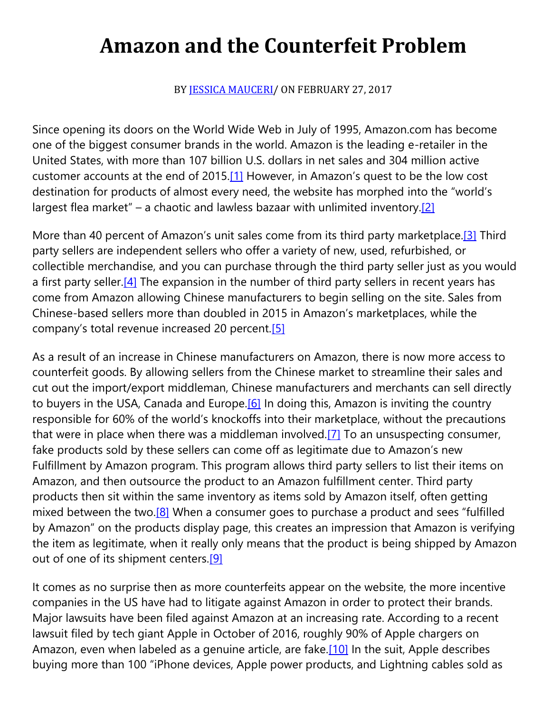# **Amazon and the Counterfeit Problem**

BY [JESSICA MAUCERI/](https://cardozoaelj.com/author/jessicamauceri/) ON FEBRUARY 27, 2017

Since opening its doors on the World Wide Web in July of 1995, Amazon.com has become one of the biggest consumer brands in the world. Amazon is the leading e-retailer in the United States, with more than 107 billion U.S. dollars in net sales and 304 million active customer accounts at the end of 2015[.\[1\]](https://cardozoaelj.com/2017/02/27/amazon-counterfeit-problem/#_ftn1) However, in Amazon's quest to be the low cost destination for products of almost every need, the website has morphed into the "world's largest flea market" – a chaotic and lawless bazaar with unlimited inventory[.\[2\]](https://cardozoaelj.com/2017/02/27/amazon-counterfeit-problem/#_ftn2)

More than 40 percent of Amazon's unit sales come from its third party marketplace.<sup>[3]</sup> Third party sellers are independent sellers who offer a variety of new, used, refurbished, or collectible merchandise, and you can purchase through the third party seller just as you would a first party seller.<sup>[4]</sup> The expansion in the number of third party sellers in recent years has come from Amazon allowing Chinese manufacturers to begin selling on the site. Sales from Chinese-based sellers more than doubled in 2015 in Amazon's marketplaces, while the company's total revenue increased 20 percent.[\[5\]](https://cardozoaelj.com/2017/02/27/amazon-counterfeit-problem/#_ftn5)

As a result of an increase in Chinese manufacturers on Amazon, there is now more access to counterfeit goods. By allowing sellers from the Chinese market to streamline their sales and cut out the import/export middleman, Chinese manufacturers and merchants can sell directly to buyers in the USA, Canada and Europe.<sup>[6]</sup> In doing this, Amazon is inviting the country responsible for 60% of the world's knockoffs into their marketplace, without the precautions that were in place when there was a middleman involved[.\[7\]](https://cardozoaelj.com/2017/02/27/amazon-counterfeit-problem/#_ftn7) To an unsuspecting consumer, fake products sold by these sellers can come off as legitimate due to Amazon's new Fulfillment by Amazon program. This program allows third party sellers to list their items on Amazon, and then outsource the product to an Amazon fulfillment center. Third party products then sit within the same inventory as items sold by Amazon itself, often getting mixed between the two.<sup>[8]</sup> When a consumer goes to purchase a product and sees "fulfilled by Amazon" on the products display page, this creates an impression that Amazon is verifying the item as legitimate, when it really only means that the product is being shipped by Amazon out of one of its shipment centers[.\[9\]](https://cardozoaelj.com/2017/02/27/amazon-counterfeit-problem/#_ftn9)

It comes as no surprise then as more counterfeits appear on the website, the more incentive companies in the US have had to litigate against Amazon in order to protect their brands. Major lawsuits have been filed against Amazon at an increasing rate. According to a recent lawsuit filed by tech giant Apple in October of 2016, roughly 90% of Apple chargers on Amazon, even when labeled as a genuine article, are fake.<sup>[10]</sup> In the suit, Apple describes buying more than 100 "iPhone devices, Apple power products, and Lightning cables sold as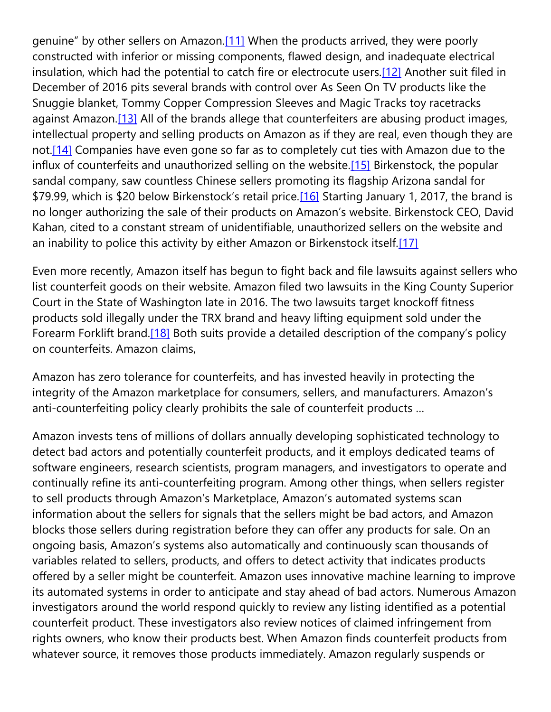genuine" by other sellers on Amazon.[\[11\]](https://cardozoaelj.com/2017/02/27/amazon-counterfeit-problem/#_ftn11) When the products arrived, they were poorly constructed with inferior or missing components, flawed design, and inadequate electrical insulation, which had the potential to catch fire or electrocute users.<sup>[12]</sup> Another suit filed in December of 2016 pits several brands with control over As Seen On TV products like the Snuggie blanket, Tommy Copper Compression Sleeves and Magic Tracks toy racetracks against Amazon.<sup>[13]</sup> All of the brands allege that counterfeiters are abusing product images, intellectual property and selling products on Amazon as if they are real, even though they are not.<sup>[14]</sup> Companies have even gone so far as to completely cut ties with Amazon due to the influx of counterfeits and unauthorized selling on the website[.\[15\]](https://cardozoaelj.com/2017/02/27/amazon-counterfeit-problem/#_ftn15) Birkenstock, the popular sandal company, saw countless Chinese sellers promoting its flagship Arizona sandal for \$79.99, which is \$20 below Birkenstock's retail price.[\[16\]](https://cardozoaelj.com/2017/02/27/amazon-counterfeit-problem/#_ftn16) Starting January 1, 2017, the brand is no longer authorizing the sale of their products on Amazon's website. Birkenstock CEO, David Kahan, cited to a constant stream of unidentifiable, unauthorized sellers on the website and an inability to police this activity by either Amazon or Birkenstock itself[.\[17\]](https://cardozoaelj.com/2017/02/27/amazon-counterfeit-problem/#_ftn17)

Even more recently, Amazon itself has begun to fight back and file lawsuits against sellers who list counterfeit goods on their website. Amazon filed two lawsuits in the King County Superior Court in the State of Washington late in 2016. The two lawsuits target knockoff fitness products sold illegally under the TRX brand and heavy lifting equipment sold under the Forearm Forklift brand.<sup>[18]</sup> Both suits provide a detailed description of the company's policy on counterfeits. Amazon claims,

Amazon has zero tolerance for counterfeits, and has invested heavily in protecting the integrity of the Amazon marketplace for consumers, sellers, and manufacturers. Amazon's anti-counterfeiting policy clearly prohibits the sale of counterfeit products …

Amazon invests tens of millions of dollars annually developing sophisticated technology to detect bad actors and potentially counterfeit products, and it employs dedicated teams of software engineers, research scientists, program managers, and investigators to operate and continually refine its anti-counterfeiting program. Among other things, when sellers register to sell products through Amazon's Marketplace, Amazon's automated systems scan information about the sellers for signals that the sellers might be bad actors, and Amazon blocks those sellers during registration before they can offer any products for sale. On an ongoing basis, Amazon's systems also automatically and continuously scan thousands of variables related to sellers, products, and offers to detect activity that indicates products offered by a seller might be counterfeit. Amazon uses innovative machine learning to improve its automated systems in order to anticipate and stay ahead of bad actors. Numerous Amazon investigators around the world respond quickly to review any listing identified as a potential counterfeit product. These investigators also review notices of claimed infringement from rights owners, who know their products best. When Amazon finds counterfeit products from whatever source, it removes those products immediately. Amazon regularly suspends or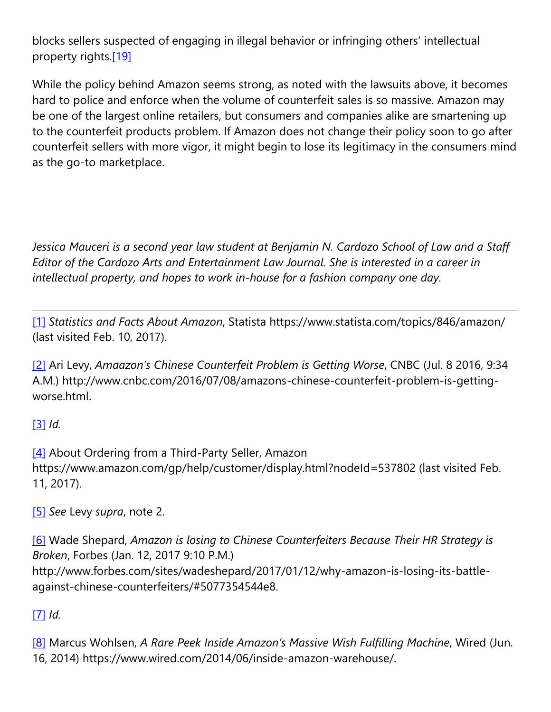blocks sellers suspected of engaging in illegal behavior or infringing others' intellectual property rights[.\[19\]](https://cardozoaelj.com/2017/02/27/amazon-counterfeit-problem/#_ftn19)

While the policy behind Amazon seems strong, as noted with the lawsuits above, it becomes hard to police and enforce when the volume of counterfeit sales is so massive. Amazon may be one of the largest online retailers, but consumers and companies alike are smartening up to the counterfeit products problem. If Amazon does not change their policy soon to go after counterfeit sellers with more vigor, it might begin to lose its legitimacy in the consumers mind as the go-to marketplace.

*Jessica Mauceri is a second year law student at Benjamin N. Cardozo School of Law and a Staff Editor of the Cardozo Arts and Entertainment Law Journal. She is interested in a career in intellectual property, and hopes to work in-house for a fashion company one day.*

[\[1\]](https://cardozoaelj.com/2017/02/27/amazon-counterfeit-problem/#_ftnref) *Statistics and Facts About Amazon*, Statista https://www.statista.com/topics/846/amazon/ (last visited Feb. 10, 2017).

[\[2\]](https://cardozoaelj.com/2017/02/27/amazon-counterfeit-problem/#_ftnref) Ari Levy, *Amaazon's Chinese Counterfeit Problem is Getting Worse*, CNBC (Jul. 8 2016, 9:34 A.M.) http://www.cnbc.com/2016/07/08/amazons-chinese-counterfeit-problem-is-gettingworse.html.

[\[3\]](https://cardozoaelj.com/2017/02/27/amazon-counterfeit-problem/#_ftnref) *Id.*

[\[4\]](https://cardozoaelj.com/2017/02/27/amazon-counterfeit-problem/#_ftnref) About Ordering from a Third-Party Seller, Amazon https://www.amazon.com/gp/help/customer/display.html?nodeId=537802 (last visited Feb. 11, 2017).

[\[5\]](https://cardozoaelj.com/2017/02/27/amazon-counterfeit-problem/#_ftnref) *See* Levy *supra*, note 2.

[\[6\]](https://cardozoaelj.com/2017/02/27/amazon-counterfeit-problem/#_ftnref) Wade Shepard, *Amazon is losing to Chinese Counterfeiters Because Their HR Strategy is Broken*, Forbes (Jan. 12, 2017 9:10 P.M.) http://www.forbes.com/sites/wadeshepard/2017/01/12/why-amazon-is-losing-its-battleagainst-chinese-counterfeiters/#5077354544e8.

[\[7\]](https://cardozoaelj.com/2017/02/27/amazon-counterfeit-problem/#_ftnref) *Id.*

[\[8\]](https://cardozoaelj.com/2017/02/27/amazon-counterfeit-problem/#_ftnref) Marcus Wohlsen, *A Rare Peek Inside Amazon's Massive Wish Fulfilling Machine*, Wired (Jun. 16, 2014) https://www.wired.com/2014/06/inside-amazon-warehouse/.